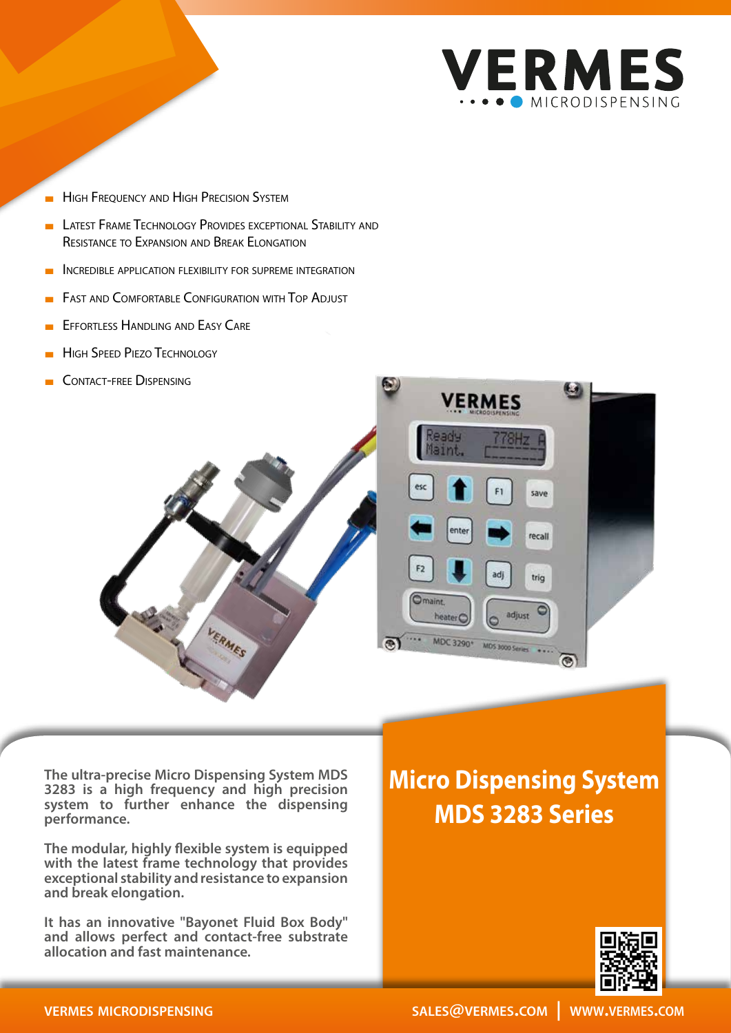

- **HIGH FREQUENCY AND HIGH PRECISION SYSTEM**
- **LATEST FRAME TECHNOLOGY PROVIDES EXCEPTIONAL STABILITY AND** Resistance to Expansion and Break Elongation
- INCREDIBLE APPLICATION FLEXIBILITY FOR SUPREME INTEGRATION
- **FAST AND COMFORTABLE CONFIGURATION WITH TOP ADJUST**
- **EFFORTLESS HANDLING AND EASY CARE**
- **HIGH SPEED PIEZO TECHNOLOGY**
- CONTACT-FREE DISPENSING



**The ultra-precise Micro Dispensing System MDS 3283 is a high frequency and high precision**  system to further enhance the dispensing **performance.**

**The modular, highly flexible system is equipped with the latest frame technology that provides exceptional stability and resistance to expansion and break elongation.**

**It has an innovative "Bayonet Fluid Box Body" and allows perfect and contact-free substrate allocation and fast maintenance.**

## **Micro Dispensing System MDS 3283 Series**



#### **vermes microdispensing**